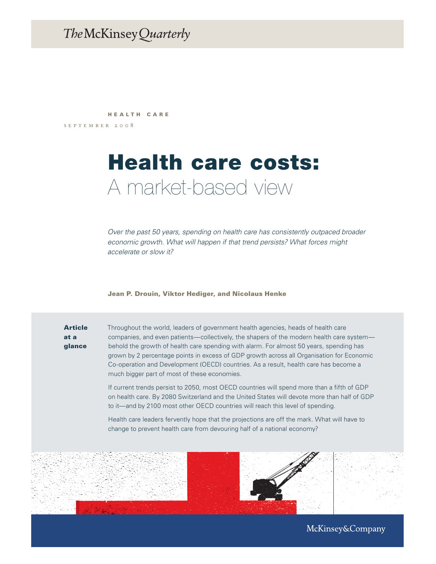# The McKinsey Quarterly

september 2008 HEALTH CARE

# Health care costs: A market-based view

*Over the past 50 years, spending on health care has consistently outpaced broader economic growth. What will happen if that trend persists? What forces might accelerate or slow it?* 

Jean P. Drouin, Viktor Hediger, and Nicolaus Henke

# Article at a glance

Throughout the world, leaders of government health agencies, heads of health care companies, and even patients—collectively, the shapers of the modern health care system behold the growth of health care spending with alarm. For almost 50 years, spending has grown by 2 percentage points in excess of GDP growth across all Organisation for Economic Co-operation and Development (OECD) countries. As a result, health care has become a much bigger part of most of these economies.

If current trends persist to 2050, most OECD countries will spend more than a fifth of GDP on health care. By 2080 Switzerland and the United States will devote more than half of GDP to it—and by 2100 most other OECD countries will reach this level of spending.

Health care leaders fervently hope that the projections are off the mark. What will have to change to prevent health care from devouring half of a national economy?



McKinsey&Company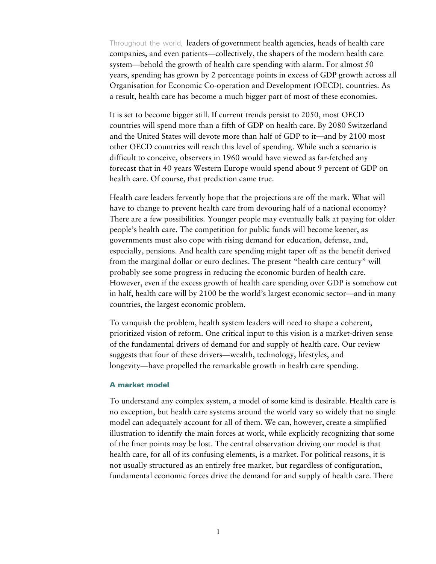Throughout the world, leaders of government health agencies, heads of health care companies, and even patients—collectively, the shapers of the modern health care system—behold the growth of health care spending with alarm. For almost 50 years, spending has grown by 2 percentage points in excess of GDP growth across all Organisation for Economic Co-operation and Development (OECD). countries. As a result, health care has become a much bigger part of most of these economies.

It is set to become bigger still. If current trends persist to 2050, most OECD countries will spend more than a fifth of GDP on health care. By 2080 Switzerland and the United States will devote more than half of GDP to it—and by 2100 most other OECD countries will reach this level of spending. While such a scenario is difficult to conceive, observers in 1960 would have viewed as far-fetched any forecast that in 40 years Western Europe would spend about 9 percent of GDP on health care. Of course, that prediction came true.

Health care leaders fervently hope that the projections are off the mark. What will have to change to prevent health care from devouring half of a national economy? There are a few possibilities. Younger people may eventually balk at paying for older people's health care. The competition for public funds will become keener, as governments must also cope with rising demand for education, defense, and, especially, pensions. And health care spending might taper off as the benefit derived from the marginal dollar or euro declines. The present "health care century" will probably see some progress in reducing the economic burden of health care. However, even if the excess growth of health care spending over GDP is somehow cut in half, health care will by 2100 be the world's largest economic sector—and in many countries, the largest economic problem.

To vanquish the problem, health system leaders will need to shape a coherent, prioritized vision of reform. One critical input to this vision is a market-driven sense of the fundamental drivers of demand for and supply of health care. Our review suggests that four of these drivers—wealth, technology, lifestyles, and longevity—have propelled the remarkable growth in health care spending.

# A market model

To understand any complex system, a model of some kind is desirable. Health care is no exception, but health care systems around the world vary so widely that no single model can adequately account for all of them. We can, however, create a simplified illustration to identify the main forces at work, while explicitly recognizing that some of the finer points may be lost. The central observation driving our model is that health care, for all of its confusing elements, is a market. For political reasons, it is not usually structured as an entirely free market, but regardless of configuration, fundamental economic forces drive the demand for and supply of health care. There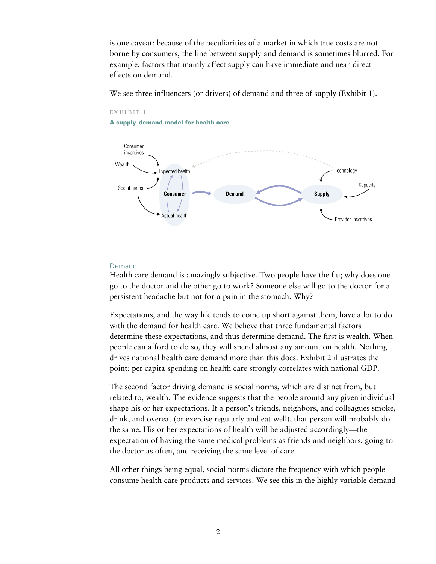is one caveat: because of the peculiarities of a market in which true costs are not borne by consumers, the line between supply and demand is sometimes blurred. For example, factors that mainly affect supply can have immediate and near-direct effects on demand.

We see three influencers (or drivers) of demand and three of supply (Exhibit 1).



#### EX HI B IT 1

A supply–demand model for health care

# Demand

Health care demand is amazingly subjective. Two people have the flu; why does one go to the doctor and the other go to work? Someone else will go to the doctor for a persistent headache but not for a pain in the stomach. Why?

Expectations, and the way life tends to come up short against them, have a lot to do with the demand for health care. We believe that three fundamental factors determine these expectations, and thus determine demand. The first is wealth. When people can afford to do so, they will spend almost any amount on health. Nothing drives national health care demand more than this does. Exhibit 2 illustrates the point: per capita spending on health care strongly correlates with national GDP.

The second factor driving demand is social norms, which are distinct from, but related to, wealth. The evidence suggests that the people around any given individual shape his or her expectations. If a person's friends, neighbors, and colleagues smoke, drink, and overeat (or exercise regularly and eat well), that person will probably do the same. His or her expectations of health will be adjusted accordingly—the expectation of having the same medical problems as friends and neighbors, going to the doctor as often, and receiving the same level of care.

All other things being equal, social norms dictate the frequency with which people consume health care products and services. We see this in the highly variable demand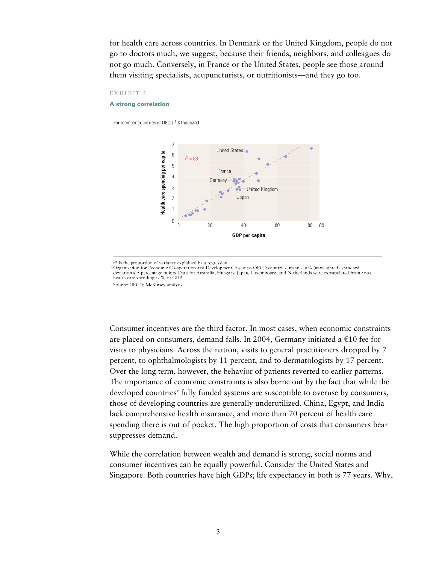for health care across countries. In Denmark or the United Kingdom, people do not go to doctors much, we suggest, because their friends, neighbors, and colleagues do not go much. Conversely, in France or the United States, people see those around them visiting specialists, acupuncturists, or nutritionists—and they go too.

## EXHIBIT 2

#### A strong correlation

For member countries of OECD,<sup>1</sup> \$ thousand



r<sup>2</sup> is the proportion of variance explained by a regression

Forganisation for Economic Co-operation and Development; 24 of 30 OECD countries; mean = 9% (unweighted), standard<br>deviation = 2 percentage points. Data for Australia, Hungary, Japan, Luxembourg, and Netherlands were extra health care spending as % of GDP.

Consumer incentives are the third factor. In most cases, when economic constraints are placed on consumers, demand falls. In 2004, Germany initiated a  $\epsilon$ 10 fee for visits to physicians. Across the nation, visits to general practitioners dropped by 7 percent, to ophthalmologists by 11 percent, and to dermatologists by 17 percent. Over the long term, however, the behavior of patients reverted to earlier patterns. The importance of economic constraints is also borne out by the fact that while the developed countries' fully funded systems are susceptible to overuse by consumers, those of developing countries are generally underutilized. China, Egypt, and India lack comprehensive health insurance, and more than 70 percent of health care spending there is out of pocket. The high proportion of costs that consumers bear suppresses demand.

While the correlation between wealth and demand is strong, social norms and consumer incentives can be equally powerful. Consider the United States and Singapore. Both countries have high GDPs; life expectancy in both is 77 years. Why,

Source: OECD; McKinsey analysis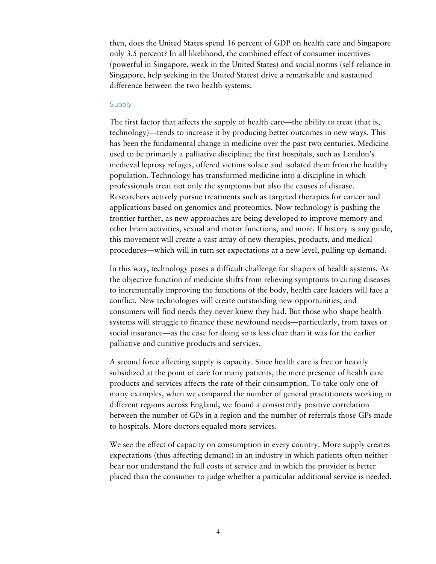then, does the United States spend 16 percent of GDP on health care and Singapore only 3.5 percent? In all likelihood, the combined effect of consumer incentives (powerful in Singapore, weak in the United States) and social norms (self-reliance in Singapore, help seeking in the United States) drive a remarkable and sustained difference between the two health systems.

# Supply

The first factor that affects the supply of health care—the ability to treat (that is, technology)—tends to increase it by producing better outcomes in new ways. This has been the fundamental change in medicine over the past two centuries. Medicine used to be primarily a palliative discipline; the first hospitals, such as London's medieval leprosy refuges, offered victims solace and isolated them from the healthy population. Technology has transformed medicine into a discipline in which professionals treat not only the symptoms but also the causes of disease. Researchers actively pursue treatments such as targeted therapies for cancer and applications based on genomics and proteomics. Now technology is pushing the frontier further, as new approaches are being developed to improve memory and other brain activities, sexual and motor functions, and more. If history is any guide, this movement will create a vast array of new therapies, products, and medical procedures—which will in turn set expectations at a new level, pulling up demand.

In this way, technology poses a difficult challenge for shapers of health systems. As the objective function of medicine shifts from relieving symptoms to curing diseases to incrementally improving the functions of the body, health care leaders will face a conflict. New technologies will create outstanding new opportunities, and consumers will find needs they never knew they had. But those who shape health systems will struggle to finance these newfound needs—particularly, from taxes or social insurance—as the case for doing so is less clear than it was for the earlier palliative and curative products and services.

A second force affecting supply is capacity. Since health care is free or heavily subsidized at the point of care for many patients, the mere presence of health care products and services affects the rate of their consumption. To take only one of many examples, when we compared the number of general practitioners working in different regions across England, we found a consistently positive correlation between the number of GPs in a region and the number of referrals those GPs made to hospitals. More doctors equaled more services.

We see the effect of capacity on consumption in every country. More supply creates expectations (thus affecting demand) in an industry in which patients often neither bear nor understand the full costs of service and in which the provider is better placed than the consumer to judge whether a particular additional service is needed.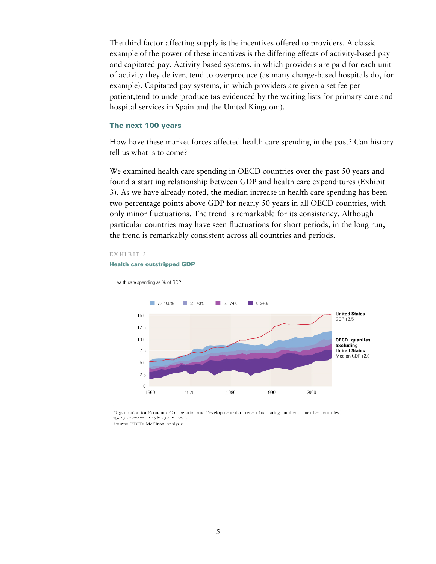The third factor affecting supply is the incentives offered to providers. A classic example of the power of these incentives is the differing effects of activity-based pay and capitated pay. Activity-based systems, in which providers are paid for each unit of activity they deliver, tend to overproduce (as many charge-based hospitals do, for example). Capitated pay systems, in which providers are given a set fee per patient,tend to underproduce (as evidenced by the waiting lists for primary care and hospital services in Spain and the United Kingdom).

# The next 100 years

How have these market forces affected health care spending in the past? Can history tell us what is to come?

We examined health care spending in OECD countries over the past 50 years and found a startling relationship between GDP and health care expenditures (Exhibit 3). As we have already noted, the median increase in health care spending has been two percentage points above GDP for nearly 50 years in all OECD countries, with only minor fluctuations. The trend is remarkable for its consistency. Although particular countries may have seen fluctuations for short periods, in the long run, the trend is remarkably consistent across all countries and periods.

### EX HIBIT 3

#### Health care outstripped GDP

Health care spending as % of GDP



<sup>1</sup>Organisation for Economic Co-operation and Development; data reflect fluctuating number of member countries eg, 13 countries in 1960, 30 in 2004.

Source: OECD: McKinsey analysis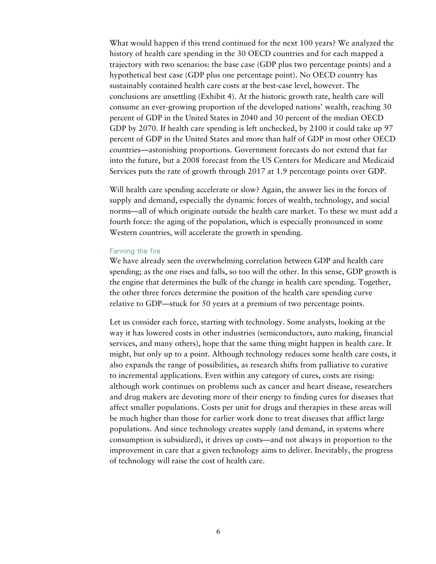What would happen if this trend continued for the next 100 years? We analyzed the history of health care spending in the 30 OECD countries and for each mapped a trajectory with two scenarios: the base case (GDP plus two percentage points) and a hypothetical best case (GDP plus one percentage point). No OECD country has sustainably contained health care costs at the best-case level, however. The conclusions are unsettling (Exhibit 4). At the historic growth rate, health care will consume an ever-growing proportion of the developed nations' wealth, reaching 30 percent of GDP in the United States in 2040 and 30 percent of the median OECD GDP by 2070. If health care spending is left unchecked, by 2100 it could take up 97 percent of GDP in the United States and more than half of GDP in most other OECD countries—astonishing proportions. Government forecasts do not extend that far into the future, but a 2008 forecast from the US Centers for Medicare and Medicaid Services puts the rate of growth through 2017 at 1.9 percentage points over GDP.

Will health care spending accelerate or slow? Again, the answer lies in the forces of supply and demand, especially the dynamic forces of wealth, technology, and social norms—all of which originate outside the health care market. To these we must add a fourth force: the aging of the population, which is especially pronounced in some Western countries, will accelerate the growth in spending.

# Fanning the fire

We have already seen the overwhelming correlation between GDP and health care spending; as the one rises and falls, so too will the other. In this sense, GDP growth is the engine that determines the bulk of the change in health care spending. Together, the other three forces determine the position of the health care spending curve relative to GDP—stuck for 50 years at a premium of two percentage points.

Let us consider each force, starting with technology. Some analysts, looking at the way it has lowered costs in other industries (semiconductors, auto making, financial services, and many others), hope that the same thing might happen in health care. It might, but only up to a point. Although technology reduces some health care costs, it also expands the range of possibilities, as research shifts from palliative to curative to incremental applications. Even within any category of cures, costs are rising: although work continues on problems such as cancer and heart disease, researchers and drug makers are devoting more of their energy to finding cures for diseases that affect smaller populations. Costs per unit for drugs and therapies in these areas will be much higher than those for earlier work done to treat diseases that afflict large populations. And since technology creates supply (and demand, in systems where consumption is subsidized), it drives up costs—and not always in proportion to the improvement in care that a given technology aims to deliver. Inevitably, the progress of technology will raise the cost of health care.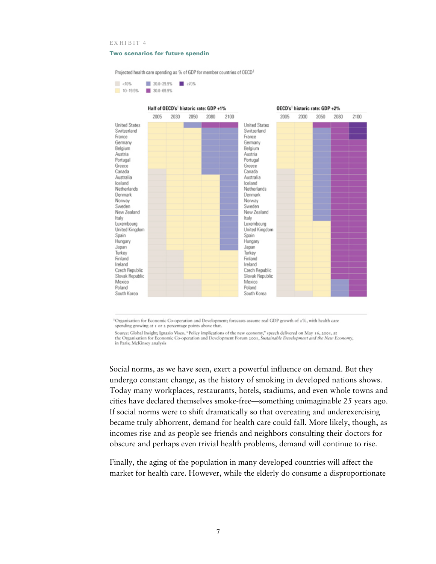#### EXHIBIT 4

#### Two scenarios for future spendin

Projected health care spending as % of GDP for member countries of OECD1





<sup>1</sup>Organisation for Economic Co-operation and Development; forecasts assume real GDP growth of 2%, with health care spending growing at 1 or 2 percentage points above that.

Source: Global Insight; Ignazio Visco, "Policy implications of the new economy," speech delivered on May 16, 2001, at the Organisation for Economic Co-operation and Development Forum 2001, Sustainable Development and the New Economy, in Paris; McKinsey analysis

Social norms, as we have seen, exert a powerful influence on demand. But they undergo constant change, as the history of smoking in developed nations shows. Today many workplaces, restaurants, hotels, stadiums, and even whole towns and cities have declared themselves smoke-free—something unimaginable 25 years ago. If social norms were to shift dramatically so that overeating and underexercising became truly abhorrent, demand for health care could fall. More likely, though, as incomes rise and as people see friends and neighbors consulting their doctors for obscure and perhaps even trivial health problems, demand will continue to rise.

Finally, the aging of the population in many developed countries will affect the market for health care. However, while the elderly do consume a disproportionate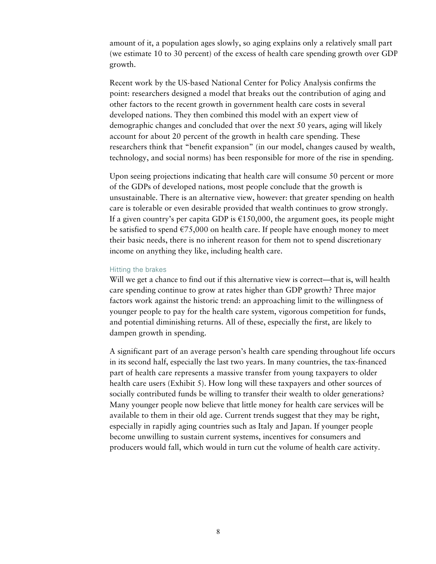amount of it, a population ages slowly, so aging explains only a relatively small part (we estimate 10 to 30 percent) of the excess of health care spending growth over GDP growth.

Recent work by the US-based National Center for Policy Analysis confirms the point: researchers designed a model that breaks out the contribution of aging and other factors to the recent growth in government health care costs in several developed nations. They then combined this model with an expert view of demographic changes and concluded that over the next 50 years, aging will likely account for about 20 percent of the growth in health care spending. These researchers think that "benefit expansion" (in our model, changes caused by wealth, technology, and social norms) has been responsible for more of the rise in spending.

Upon seeing projections indicating that health care will consume 50 percent or more of the GDPs of developed nations, most people conclude that the growth is unsustainable. There is an alternative view, however: that greater spending on health care is tolerable or even desirable provided that wealth continues to grow strongly. If a given country's per capita GDP is  $£150,000$ , the argument goes, its people might be satisfied to spend  $\epsilon$ 75,000 on health care. If people have enough money to meet their basic needs, there is no inherent reason for them not to spend discretionary income on anything they like, including health care.

# Hitting the brakes

Will we get a chance to find out if this alternative view is correct—that is, will health care spending continue to grow at rates higher than GDP growth? Three major factors work against the historic trend: an approaching limit to the willingness of younger people to pay for the health care system, vigorous competition for funds, and potential diminishing returns. All of these, especially the first, are likely to dampen growth in spending.

A significant part of an average person's health care spending throughout life occurs in its second half, especially the last two years. In many countries, the tax-financed part of health care represents a massive transfer from young taxpayers to older health care users (Exhibit 5). How long will these taxpayers and other sources of socially contributed funds be willing to transfer their wealth to older generations? Many younger people now believe that little money for health care services will be available to them in their old age. Current trends suggest that they may be right, especially in rapidly aging countries such as Italy and Japan. If younger people become unwilling to sustain current systems, incentives for consumers and producers would fall, which would in turn cut the volume of health care activity.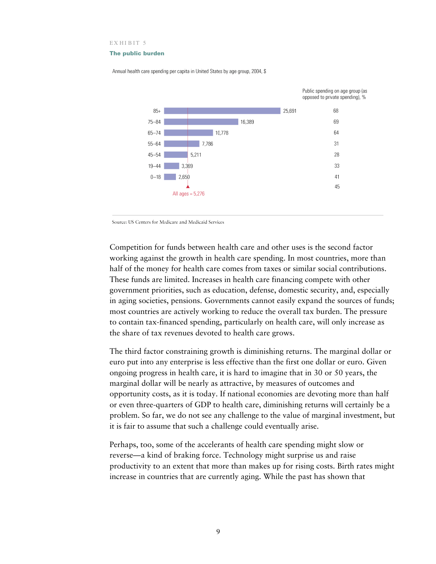EXHIBIT 5

#### The public burden



Annual health care spending per capita in United States by age group, 2004, \$

Source: US Centers for Medicare and Medicaid Services

Competition for funds between health care and other uses is the second factor working against the growth in health care spending. In most countries, more than half of the money for health care comes from taxes or similar social contributions. These funds are limited. Increases in health care financing compete with other government priorities, such as education, defense, domestic security, and, especially in aging societies, pensions. Governments cannot easily expand the sources of funds; most countries are actively working to reduce the overall tax burden. The pressure to contain tax-financed spending, particularly on health care, will only increase as the share of tax revenues devoted to health care grows.

The third factor constraining growth is diminishing returns. The marginal dollar or euro put into any enterprise is less effective than the first one dollar or euro. Given ongoing progress in health care, it is hard to imagine that in 30 or 50 years, the marginal dollar will be nearly as attractive, by measures of outcomes and opportunity costs, as it is today. If national economies are devoting more than half or even three-quarters of GDP to health care, diminishing returns will certainly be a problem. So far, we do not see any challenge to the value of marginal investment, but it is fair to assume that such a challenge could eventually arise.

Perhaps, too, some of the accelerants of health care spending might slow or reverse—a kind of braking force. Technology might surprise us and raise productivity to an extent that more than makes up for rising costs. Birth rates might increase in countries that are currently aging. While the past has shown that